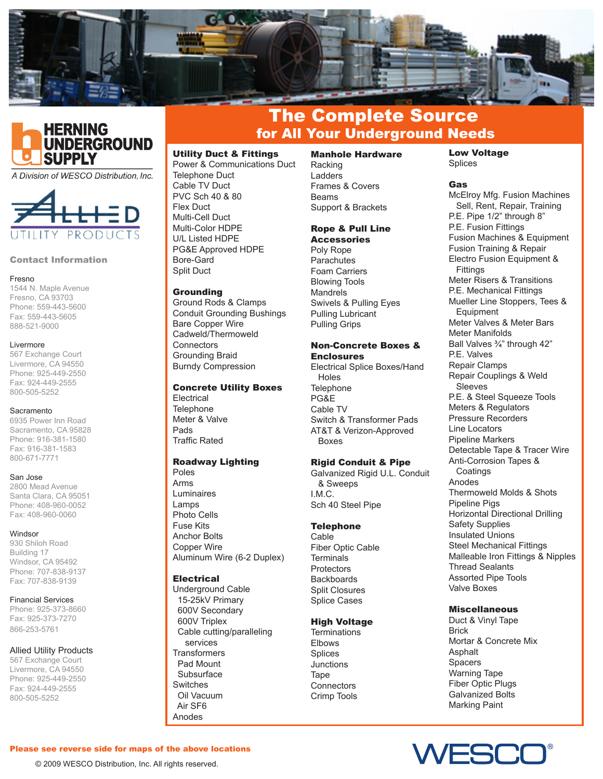



A Division of WESCO Distribution, Inc.



#### Contact Information

#### Fresno

1544 N. Maple Avenue Fresno, CA 93703 Phone: 559-443-5600 Fax: 559-443-5605 888-521-9000

#### Livermore

567 Exchange Court Livermore, CA 94550 Phone: 925-449-2550 Fax: 924-449-2555 800-505-5252

#### Sacramento

6935 Power Inn Road Sacramento, CA 95828 Phone: 916-381-1580 Fax: 916-381-1583 800-671-7771

#### San Jose

2800 Mead Avenue Santa Clara, CA 95051 Phone: 408-960-0052 Fax: 408-960-0060

#### Windsor

930 Shiloh Road Building 17 Windsor, CA 95492 Phone: 707-838-9137 Fax: 707-838-9139

#### Financial Services

Phone: 925-373-8660 Fax: 925-373-7270 866-253-5761

## Allied Utility Products

567 Exchange Court Livermore, CA 94550 Phone: 925-449-2550 Fax: 924-449-2555 800-505-5252

# The Complete Source for All Your Underground Needs

## Utility Duct & Fittings

Power & Communications Duct Telephone Duct Cable TV Duct PVC Sch 40 & 80 Flex Duct Multi-Cell Duct Multi-Color HDPE U/L Listed HDPE PG&E Approved HDPE Bore-Gard Split Duct

#### **Grounding**

Ground Rods & Clamps Conduit Grounding Bushings Bare Copper Wire Cadweld/Thermoweld **Connectors** Grounding Braid Burndy Compression

#### Concrete Utility Boxes

Electrical **Telephone** Meter & Valve Pads Traffic Rated

## Roadway Lighting

Poles Arms Luminaires Lamps Photo Cells Fuse Kits Anchor Bolts Copper Wire Aluminum Wire (6-2 Duplex)

# **Electrical**

Underground Cable 15-25kV Primary 600V Secondary 600V Triplex Cable cutting/paralleling services **Transformers**  Pad Mount Subsurface Switches Oil Vacuum Air SF6 Anodes

Manhole Hardware Racking Ladders Frames & Covers Beams Support & Brackets

# Rope & Pull Line

**Accessories** Poly Rope **Parachutes** Foam Carriers Blowing Tools Mandrels Swivels & Pulling Eyes Pulling Lubricant Pulling Grips

# Non-Concrete Boxes & Enclosures

Electrical Splice Boxes/Hand Holes **Telephone** PG&E Cable TV Switch & Transformer Pads AT&T & Verizon-Approved Boxes

# Rigid Conduit & Pipe

Galvanized Rigid U.L. Conduit & Sweeps I.M.C. Sch 40 Steel Pipe

## **Telephone**

Cable Fiber Optic Cable **Terminals Protectors Backboards** Split Closures Splice Cases

# High Voltage

**Terminations** Elbows Splices **Junctions Tape Connectors** Crimp Tools

Low Voltage Splices

# **Gas**

McElroy Mfg. Fusion Machines Sell, Rent, Repair, Training P.E. Pipe 1/2" through 8" P.E. Fusion Fittings Fusion Machines & Equipment Fusion Training & Repair Electro Fusion Equipment & Fittings Meter Risers & Transitions P.E. Mechanical Fittings Mueller Line Stoppers, Tees & **Equipment** Meter Valves & Meter Bars Meter Manifolds Ball Valves ¾" through 42" P.E. Valves Repair Clamps Repair Couplings & Weld Sleeves P.E. & Steel Squeeze Tools Meters & Regulators Pressure Recorders Line Locators Pipeline Markers Detectable Tape & Tracer Wire Anti-Corrosion Tapes & **Coatings** Anodes Thermoweld Molds & Shots Pipeline Pigs Horizontal Directional Drilling Safety Supplies Insulated Unions Steel Mechanical Fittings Malleable Iron Fittings & Nipples Thread Sealants Assorted Pipe Tools Valve Boxes

## **Miscellaneous**

Duct & Vinyl Tape Brick Mortar & Concrete Mix **Asphalt Spacers** Warning Tape Fiber Optic Plugs Galvanized Bolts Marking Paint



Please see reverse side for maps of the above locations

© 2009 WESCO Distribution, Inc. All rights reserved.